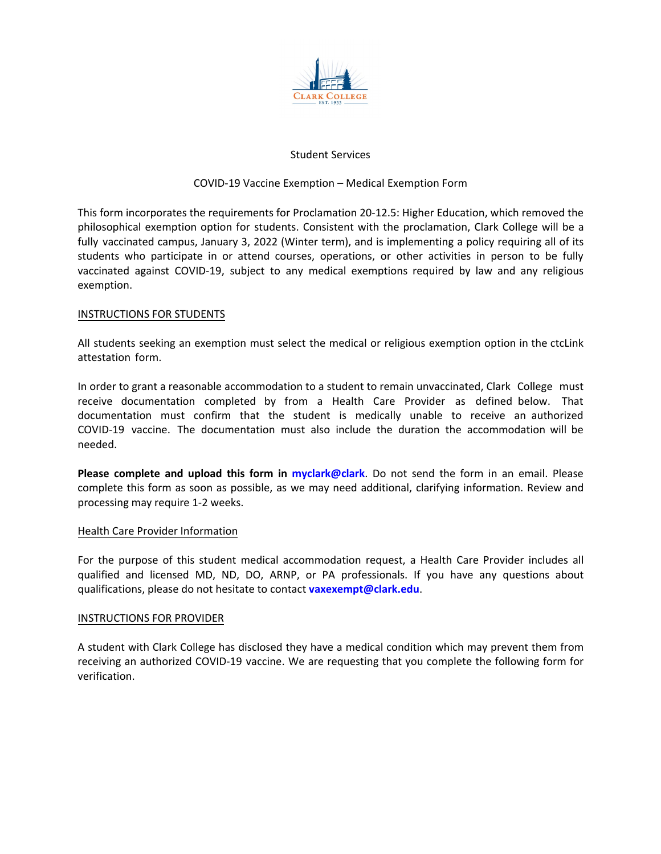

# Student Services

### COVID-19 Vaccine Exemption – Medical Exemption Form

This form incorporates the requirements for Proclamation 20-12.5: Higher Education, which removed the philosophical exemption option for students. Consistent with the proclamation, Clark College will be a fully vaccinated campus, January 3, 2022 (Winter term), and is implementing a policy requiring all of its students who participate in or attend courses, operations, or other activities in person to be fully vaccinated against COVID-19, subject to any medical exemptions required by law and any religious exemption.

### INSTRUCTIONS FOR STUDENTS

All students seeking an exemption must select the medical or religious exemption option in the ctcLink attestation form.

In order to grant a reasonable accommodation to a student to remain unvaccinated, Clark College must receive documentation completed by from a Health Care Provider as defined below. That documentation must confirm that the student is medically unable to receive an authorized COVID-19 vaccine. The documentation must also include the duration the accommodation will be needed.

**Please complete and upload this form in [myclark@clark](https://www.clark.edu/current-students/)**. Do not send the form in an email. Please complete this form as soon as possible, as we may need additional, clarifying information. Review and processing may require 1-2 weeks.

#### Health Care Provider Information

For the purpose of this student medical accommodation request, a Health Care Provider includes all qualified and licensed MD, ND, DO, ARNP, or PA professionals. If you have any questions about qualifications, please do not hesitate to contact **[vaxexempt@clark.edu](mailto:vaxexempt@clark.edu?subject=COVID-19 Vaccine Exemption-Medical Exemption Question)**.

#### INSTRUCTIONS FOR PROVIDER

A student with Clark College has disclosed they have a medical condition which may prevent them from receiving an authorized COVID-19 vaccine. We are requesting that you complete the following form for verification.